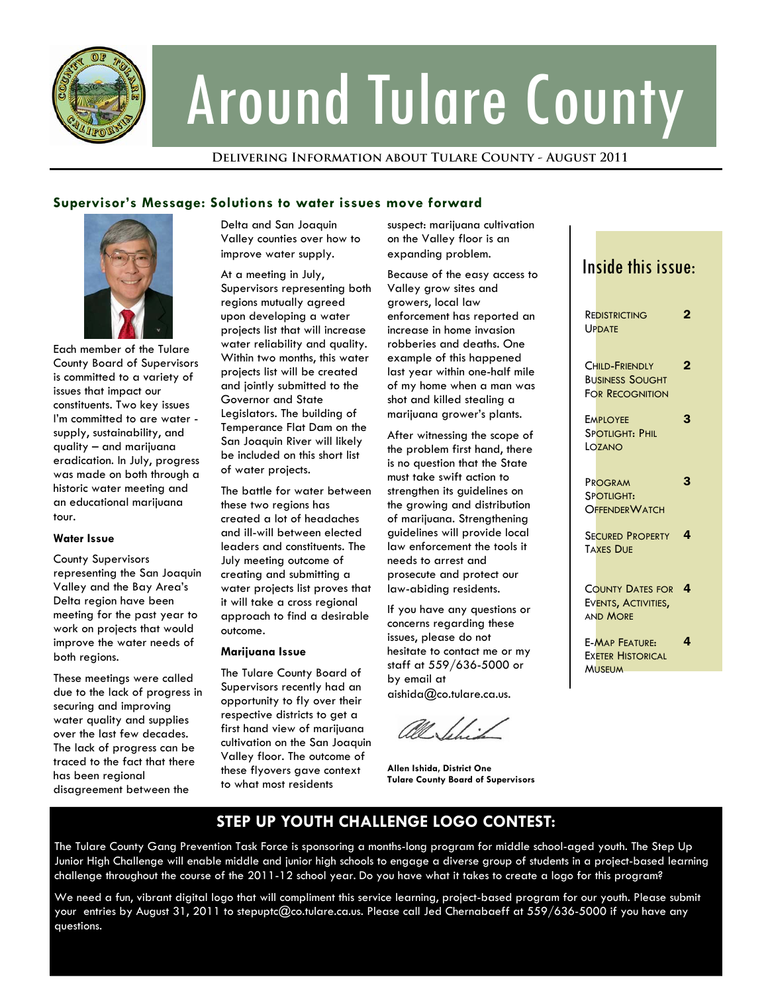

# Around Tulare County

### **Delivering Information about Tulare County - August 2011**

## **Supervisor's Message: Solutions to water issues move forward**



Each member of the Tulare County Board of Supervisors is committed to a variety of issues that impact our constituents. Two key issues I'm committed to are water supply, sustainability, and quality – and marijuana eradication. In July, progress was made on both through a historic water meeting and an educational marijuana tour.

### **Water Issue**

County Supervisors representing the San Joaquin Valley and the Bay Area's Delta region have been meeting for the past year to work on projects that would improve the water needs of both regions.

These meetings were called due to the lack of progress in securing and improving water quality and supplies over the last few decades. The lack of progress can be traced to the fact that there has been regional disagreement between the

Delta and San Joaquin Valley counties over how to improve water supply.

At a meeting in July, Supervisors representing both regions mutually agreed upon developing a water projects list that will increase water reliability and quality. Within two months, this water projects list will be created and jointly submitted to the Governor and State Legislators. The building of Temperance Flat Dam on the San Joaquin River will likely be included on this short list of water projects.

The battle for water between these two regions has created a lot of headaches and ill-will between elected leaders and constituents. The July meeting outcome of creating and submitting a water projects list proves that it will take a cross regional approach to find a desirable outcome.

### **Marijuana Issue**

The Tulare County Board of Supervisors recently had an opportunity to fly over their respective districts to get a first hand view of marijuana cultivation on the San Joaquin Valley floor. The outcome of these flyovers gave context to what most residents

suspect: marijuana cultivation on the Valley floor is an expanding problem.

Because of the easy access to Valley grow sites and growers, local law enforcement has reported an increase in home invasion robberies and deaths. One example of this happened last year within one-half mile of my home when a man was shot and killed stealing a marijuana grower's plants.

After witnessing the scope of the problem first hand, there is no question that the State must take swift action to strengthen its guidelines on the growing and distribution of marijuana. Strengthening guidelines will provide local law enforcement the tools it needs to arrest and prosecute and protect our law-abiding residents.

If you have any questions or concerns regarding these issues, please do not hesitate to contact me or my staff at 559/636-5000 or by email at aishida@co.tulare.ca.us.

**Allen Ishida, District One Tulare County Board of Supervisors** 

# Inside this issue:

| REDISTRICTING<br>UPDATE                                            |   |
|--------------------------------------------------------------------|---|
| CHILD-FRIENDLY<br><b>BUSINESS SOUGHT</b><br><b>FOR RECOGNITION</b> | 2 |
| <b>EMPLOYFE</b><br><b>SPOTLIGHT: PHIL</b><br>LOZANO                | 3 |
| PROGRAM<br>SPOTLIGHT:<br><b>OFFENDER WATCH</b>                     | 3 |
| <b>SECURED PROPERTY</b><br><b>TAXES DUE</b>                        | 4 |
| <b>COUNTY DATES FOR</b><br>EVENTS, ACTIVITIES,<br><b>AND MORE</b>  | 4 |
| <b>F-MAP FFATURE:</b><br><b>EXETER HISTORICAL</b><br><b>MUSEUM</b> | 4 |

# **STEP UP YOUTH CHALLENGE LOGO CONTEST:**

The Tulare County Gang Prevention Task Force is sponsoring a months-long program for middle school-aged youth. The Step Up Junior High Challenge will enable middle and junior high schools to engage a diverse group of students in a project-based learning challenge throughout the course of the 2011-12 school year. Do you have what it takes to create a logo for this program?

We need a fun, vibrant digital logo that will compliment this service learning, project-based program for our youth. Please submit your entries by August 31, 2011 to stepuptc@co.tulare.ca.us. Please call Jed Chernabaeff at 559/636-5000 if you have any questions.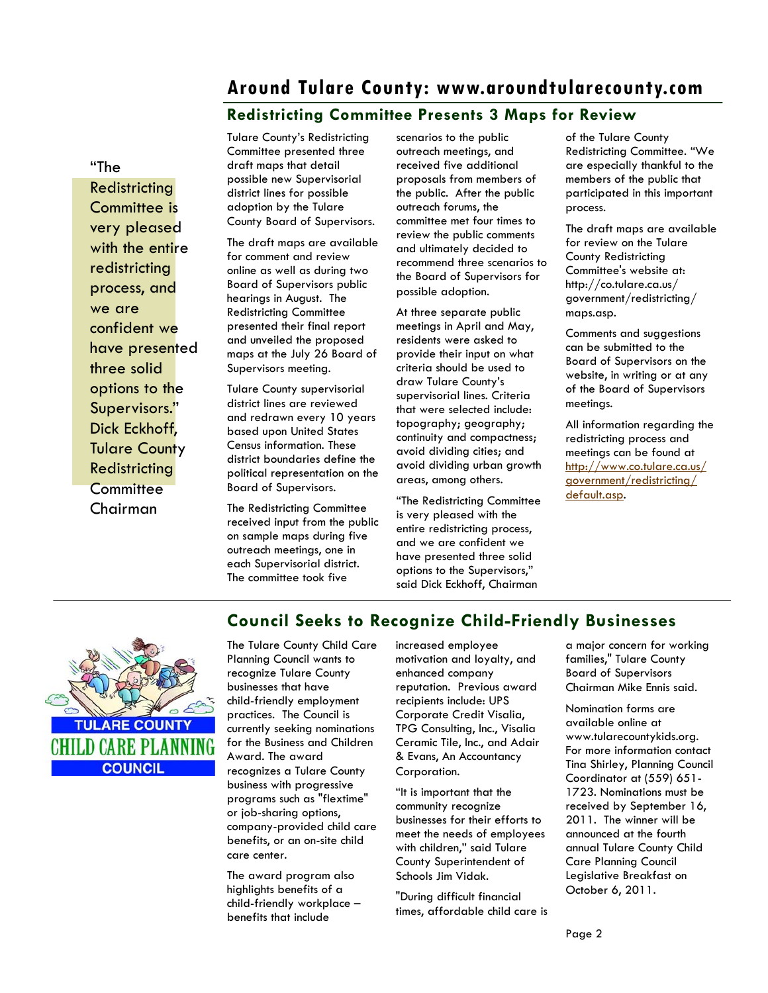# **Around Tulare County: www.aroundtularecounty.com**

# **Redistricting Committee Presents 3 Maps for Review**

"The

**Redistricting** Committee is very pleased with the entire redistricting process, and we are confident we have presented three solid options to the Supervisors." Dick Eckhoff, Tulare County **Redistricting Committee** Chairman

Tulare County's Redistricting Committee presented three draft maps that detail possible new Supervisorial district lines for possible adoption by the Tulare County Board of Supervisors.

The draft maps are available for comment and review online as well as during two Board of Supervisors public hearings in August. The Redistricting Committee presented their final report and unveiled the proposed maps at the July 26 Board of Supervisors meeting.

Tulare County supervisorial district lines are reviewed and redrawn every 10 years based upon United States Census information. These district boundaries define the political representation on the Board of Supervisors.

The Redistricting Committee received input from the public on sample maps during five outreach meetings, one in each Supervisorial district. The committee took five

scenarios to the public outreach meetings, and received five additional proposals from members of the public. After the public outreach forums, the committee met four times to review the public comments and ultimately decided to recommend three scenarios to the Board of Supervisors for possible adoption.

At three separate public meetings in April and May, residents were asked to provide their input on what criteria should be used to draw Tulare County's supervisorial lines. Criteria that were selected include: topography; geography; continuity and compactness; avoid dividing cities; and avoid dividing urban growth areas, among others.

"The Redistricting Committee is very pleased with the entire redistricting process, and we are confident we have presented three solid options to the Supervisors," said Dick Eckhoff, Chairman

of the Tulare County Redistricting Committee. "We are especially thankful to the members of the public that participated in this important process.

The draft maps are available for review on the Tulare County Redistricting Committee's website at: http://co.tulare.ca.us/ government/redistricting/ maps.asp.

Comments and suggestions can be submitted to the Board of Supervisors on the website, in writing or at any of the Board of Supervisors meetings.

All information regarding the redistricting process and meetings can be found at [http://www.co.tulare.ca.us/](http://www.co.tulare.ca.us/government/redistricting/default.asp) [government/redistricting/](http://www.co.tulare.ca.us/government/redistricting/default.asp) [default.asp.](http://www.co.tulare.ca.us/government/redistricting/default.asp)



# **Council Seeks to Recognize Child-Friendly Businesses**

The Tulare County Child Care Planning Council wants to recognize Tulare County businesses that have child-friendly employment practices. The Council is currently seeking nominations for the Business and Children Award. The award recognizes a Tulare County business with progressive programs such as "flextime" or job-sharing options, company-provided child care benefits, or an on-site child care center.

The award program also highlights benefits of a child-friendly workplace – benefits that include

increased employee motivation and loyalty, and enhanced company reputation. Previous award recipients include: UPS Corporate Credit Visalia, TPG Consulting, Inc., Visalia Ceramic Tile, Inc., and Adair & Evans, An Accountancy Corporation.

"It is important that the community recognize businesses for their efforts to meet the needs of employees with children," said Tulare County Superintendent of Schools Jim Vidak.

"During difficult financial times, affordable child care is a major concern for working families," Tulare County Board of Supervisors Chairman Mike Ennis said.

Nomination forms are available online at www.tularecountykids.org. For more information contact Tina Shirley, Planning Council Coordinator at (559) 651- 1723. Nominations must be received by September 16, 2011. The winner will be announced at the fourth annual Tulare County Child Care Planning Council Legislative Breakfast on October 6, 2011.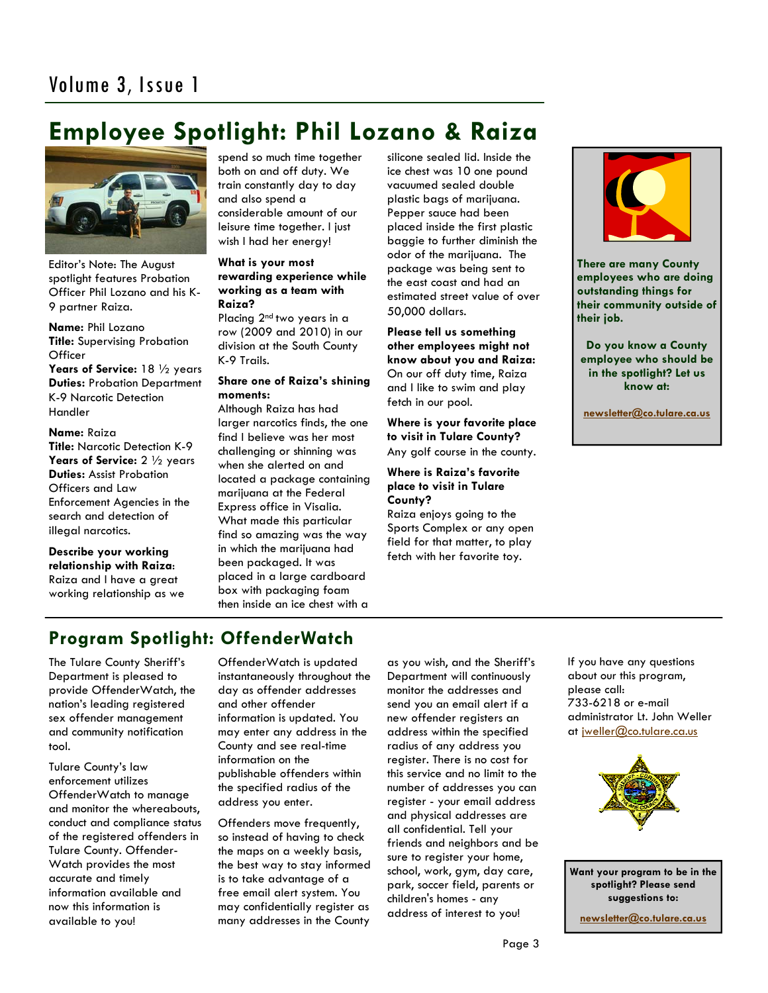# **Employee Spotlight: Phil Lozano & Raiza**



Editor's Note: The August spotlight features Probation Officer Phil Lozano and his K-9 partner Raiza.

**Name:** Phil Lozano **Title:** Supervising Probation **Officer** 

**Years of Service:** 18 ½ years **Duties:** Probation Department K-9 Narcotic Detection Handler

### **Name:** Raiza

**Title:** Narcotic Detection K-9 **Years of Service:** 2 ½ years **Duties:** Assist Probation Officers and Law Enforcement Agencies in the search and detection of illegal narcotics.

**Describe your working relationship with Raiza**: Raiza and I have a great working relationship as we spend so much time together both on and off duty. We train constantly day to day and also spend a considerable amount of our leisure time together. I just wish I had her energy!

### **What is your most rewarding experience while working as a team with Raiza?**

Placing 2<sup>nd</sup> two years in a row (2009 and 2010) in our division at the South County K-9 Trails.

### **Share one of Raiza's shining moments:**

Although Raiza has had larger narcotics finds, the one find I believe was her most challenging or shinning was when she alerted on and located a package containing marijuana at the Federal Express office in Visalia. What made this particular find so amazing was the way in which the marijuana had been packaged. It was placed in a large cardboard box with packaging foam then inside an ice chest with a

silicone sealed lid. Inside the ice chest was 10 one pound vacuumed sealed double plastic bags of marijuana. Pepper sauce had been placed inside the first plastic baggie to further diminish the odor of the marijuana. The package was being sent to the east coast and had an estimated street value of over 50,000 dollars.

**Please tell us something other employees might not know about you and Raiza:** On our off duty time, Raiza and I like to swim and play fetch in our pool.

**Where is your favorite place to visit in Tulare County?** Any golf course in the county.

### **Where is Raiza's favorite place to visit in Tulare County?**

Raiza enjoys going to the Sports Complex or any open field for that matter, to play fetch with her favorite toy.



**There are many County employees who are doing outstanding things for their community outside of their job.** 

**Do you know a County employee who should be in the spotlight? Let us know at:** 

 **[newsletter@co.tulare.ca.us](mailto:newsletter@co.tulare.ca.us?subject=Employee%20spotlight)**

# **Program Spotlight: OffenderWatch**

The Tulare County Sheriff's Department is pleased to provide OffenderWatch, the nation's leading registered sex offender management and community notification tool.

Tulare County's law enforcement utilizes OffenderWatch to manage and monitor the whereabouts, conduct and compliance status of the registered offenders in Tulare County. Offender-Watch provides the most accurate and timely information available and now this information is available to you!

OffenderWatch is updated instantaneously throughout the day as offender addresses and other offender information is updated. You may enter any address in the County and see real-time information on the publishable offenders within the specified radius of the address you enter.

Offenders move frequently, so instead of having to check the maps on a weekly basis, the best way to stay informed is to take advantage of a free email alert system. You may confidentially register as many addresses in the County

as you wish, and the Sheriff's Department will continuously monitor the addresses and send you an email alert if a new offender registers an address within the specified radius of any address you register. There is no cost for this service and no limit to the number of addresses you can register - your email address and physical addresses are all confidential. Tell your friends and neighbors and be sure to register your home, school, work, gym, day care, park, soccer field, parents or children's homes - any address of interest to you!

If you have any questions about our this program, please call: 733-6218 or e-mail administrator Lt. John Weller at [jweller@co.tulare.ca.us](mailto:jweller@co.tulare.ca.us)



**Want your program to be in the spotlight? Please send suggestions to:** 

**[newsletter@co.tulare.ca.us](mailto:newsletter@co.tulare.ca.us?subject=Program%20spotlight)**